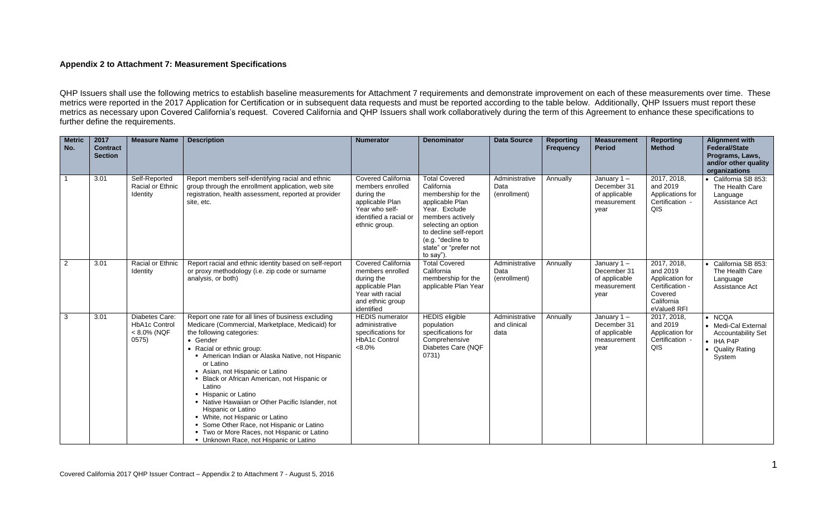## **Appendix 2 to Attachment 7: Measurement Specifications**

QHP Issuers shall use the following metrics to establish baseline measurements for Attachment 7 requirements and demonstrate improvement on each of these measurements over time. These metrics were reported in the 2017 Application for Certification or in subsequent data requests and must be reported according to the table below. Additionally, QHP Issuers must report these metrics as necessary upon Covered California's request. Covered California and QHP Issuers shall work collaboratively during the term of this Agreement to enhance these specifications to further define the requirements.

| <b>Metric</b><br>No. | 2017<br><b>Contract</b><br><b>Section</b> | <b>Measure Name</b>                                               | <b>Description</b>                                                                                                                                                                                                                                                                                                                                                                                                                                                                                                                                                                                             | <b>Numerator</b>                                                                                                                            | <b>Denominator</b>                                                                                                                                                                                                           | <b>Data Source</b>                     | <b>Reporting</b><br><b>Frequency</b> | <b>Measurement</b><br><b>Period</b>                                  | <b>Reporting</b><br><b>Method</b>                                                                     | <b>Alignment with</b><br><b>Federal/State</b><br>Programs, Laws,<br>and/or other quality<br>organizations             |
|----------------------|-------------------------------------------|-------------------------------------------------------------------|----------------------------------------------------------------------------------------------------------------------------------------------------------------------------------------------------------------------------------------------------------------------------------------------------------------------------------------------------------------------------------------------------------------------------------------------------------------------------------------------------------------------------------------------------------------------------------------------------------------|---------------------------------------------------------------------------------------------------------------------------------------------|------------------------------------------------------------------------------------------------------------------------------------------------------------------------------------------------------------------------------|----------------------------------------|--------------------------------------|----------------------------------------------------------------------|-------------------------------------------------------------------------------------------------------|-----------------------------------------------------------------------------------------------------------------------|
| -1                   | 3.01                                      | Self-Reported<br>Racial or Ethnic<br>Identity                     | Report members self-identifying racial and ethnic<br>group through the enrollment application, web site<br>registration, health assessment, reported at provider<br>site, etc.                                                                                                                                                                                                                                                                                                                                                                                                                                 | <b>Covered California</b><br>members enrolled<br>during the<br>applicable Plan<br>Year who self-<br>identified a racial or<br>ethnic group. | <b>Total Covered</b><br>California<br>membership for the<br>applicable Plan<br>Year. Exclude<br>members actively<br>selecting an option<br>to decline self-report<br>(e.g. "decline to<br>state" or "prefer not<br>to say"). | Administrative<br>Data<br>(enrollment) | Annually                             | January $1 -$<br>December 31<br>of applicable<br>measurement<br>year | 2017, 2018,<br>and 2019<br>Applications for<br>Certification -<br>QIS                                 | • California SB 853:<br>The Health Care<br>Language<br>Assistance Act                                                 |
| $\overline{2}$       | 3.01                                      | Racial or Ethnic<br>Identity                                      | Report racial and ethnic identity based on self-report<br>or proxy methodology (i.e. zip code or surname<br>analysis, or both)                                                                                                                                                                                                                                                                                                                                                                                                                                                                                 | <b>Covered California</b><br>members enrolled<br>during the<br>applicable Plan<br>Year with racial<br>and ethnic group<br>identified        | <b>Total Covered</b><br>California<br>membership for the<br>applicable Plan Year                                                                                                                                             | Administrative<br>Data<br>(enrollment) | Annually                             | January $1 -$<br>December 31<br>of applicable<br>measurement<br>year | 2017, 2018,<br>and 2019<br>Application for<br>Certification -<br>Covered<br>California<br>eValue8 RFI | California SB 853:<br>The Health Care<br>Language<br>Assistance Act                                                   |
| 3                    | 3.01                                      | Diabetes Care:<br><b>HbA1c Control</b><br>$< 8.0\%$ (NQF<br>0575) | Report one rate for all lines of business excluding<br>Medicare (Commercial, Marketplace, Medicaid) for<br>the following categories:<br>• Gender<br>• Racial or ethnic group:<br>American Indian or Alaska Native, not Hispanic<br>or Latino<br>Asian, not Hispanic or Latino<br>Black or African American, not Hispanic or<br>Latino<br>• Hispanic or Latino<br>• Native Hawaiian or Other Pacific Islander, not<br>Hispanic or Latino<br>• White, not Hispanic or Latino<br>Some Other Race, not Hispanic or Latino<br>" Two or More Races, not Hispanic or Latino<br>• Unknown Race, not Hispanic or Latino | <b>HEDIS</b> numerator<br>administrative<br>specifications for<br>HbA1c Control<br>$<8.0\%$                                                 | <b>HEDIS</b> eligible<br>population<br>specifications for<br>Comprehensive<br>Diabetes Care (NQF<br>0731)                                                                                                                    | Administrative<br>and clinical<br>data | Annually                             | January $1 -$<br>December 31<br>of applicable<br>measurement<br>year | 2017, 2018,<br>and 2019<br>Application for<br>Certification -<br>QIS                                  | $\bullet$ NCQA<br>• Medi-Cal External<br><b>Accountability Set</b><br>$\bullet$ IHA P4P<br>• Quality Rating<br>System |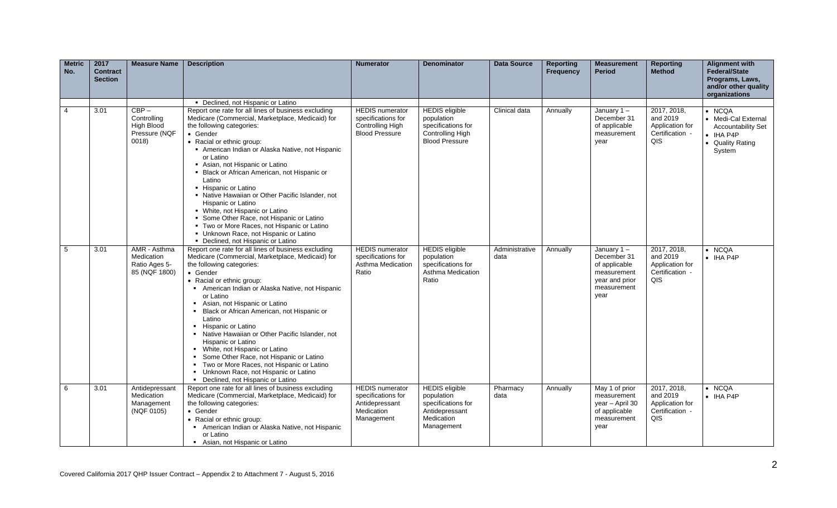| <b>Metric</b><br>No. | 2017<br><b>Contract</b><br><b>Section</b> | <b>Measure Name</b>                                            | <b>Description</b>                                                                                                                                                                                                                                                                                                                                                                                                                                                                                                                                                                                                                                                                                           | <b>Numerator</b>                                                                           | <b>Denominator</b>                                                                                      | <b>Data Source</b>     | <b>Reporting</b><br><b>Frequency</b> | <b>Measurement</b><br><b>Period</b>                                                                   | <b>Reporting</b><br><b>Method</b>                                    | <b>Alignment with</b><br><b>Federal/State</b><br>Programs, Laws,<br>and/or other quality<br>organizations             |
|----------------------|-------------------------------------------|----------------------------------------------------------------|--------------------------------------------------------------------------------------------------------------------------------------------------------------------------------------------------------------------------------------------------------------------------------------------------------------------------------------------------------------------------------------------------------------------------------------------------------------------------------------------------------------------------------------------------------------------------------------------------------------------------------------------------------------------------------------------------------------|--------------------------------------------------------------------------------------------|---------------------------------------------------------------------------------------------------------|------------------------|--------------------------------------|-------------------------------------------------------------------------------------------------------|----------------------------------------------------------------------|-----------------------------------------------------------------------------------------------------------------------|
| 4                    | 3.01                                      | $CBP -$<br>Controlling<br>High Blood<br>Pressure (NQF<br>0018) | • Declined, not Hispanic or Latino<br>Report one rate for all lines of business excluding<br>Medicare (Commercial, Marketplace, Medicaid) for<br>the following categories:<br>• Gender<br>• Racial or ethnic group:<br>American Indian or Alaska Native, not Hispanic<br>or Latino<br>Asian, not Hispanic or Latino<br>• Black or African American, not Hispanic or<br>Latino<br>• Hispanic or Latino<br>• Native Hawaiian or Other Pacific Islander, not<br>Hispanic or Latino<br>• White, not Hispanic or Latino<br>Some Other Race, not Hispanic or Latino<br>" Two or More Races, not Hispanic or Latino<br>• Unknown Race, not Hispanic or Latino                                                       | <b>HEDIS</b> numerator<br>specifications for<br>Controlling High<br><b>Blood Pressure</b>  | <b>HEDIS</b> eligible<br>population<br>specifications for<br>Controlling High<br><b>Blood Pressure</b>  | Clinical data          | Annually                             | January $1 -$<br>December 31<br>of applicable<br>measurement<br>year                                  | 2017, 2018,<br>and 2019<br>Application for<br>Certification -<br>QIS | $\bullet$ NCQA<br>• Medi-Cal External<br><b>Accountability Set</b><br>$\bullet$ IHA P4P<br>• Quality Rating<br>System |
| 5                    | 3.01                                      | AMR - Asthma<br>Medication<br>Ratio Ages 5-<br>85 (NQF 1800)   | • Declined, not Hispanic or Latino<br>Report one rate for all lines of business excluding<br>Medicare (Commercial, Marketplace, Medicaid) for<br>the following categories:<br>• Gender<br>• Racial or ethnic group:<br>American Indian or Alaska Native, not Hispanic<br>or Latino<br>Asian, not Hispanic or Latino<br>Black or African American, not Hispanic or<br>Latino<br>• Hispanic or Latino<br>• Native Hawaiian or Other Pacific Islander, not<br>Hispanic or Latino<br>• White, not Hispanic or Latino<br>Some Other Race, not Hispanic or Latino<br>$\blacksquare$<br>• Two or More Races, not Hispanic or Latino<br>• Unknown Race, not Hispanic or Latino<br>• Declined, not Hispanic or Latino | <b>HEDIS</b> numerator<br>specifications for<br>Asthma Medication<br>Ratio                 | <b>HEDIS</b> eligible<br>population<br>specifications for<br>Asthma Medication<br>Ratio                 | Administrative<br>data | Annually                             | January $1 -$<br>December 31<br>of applicable<br>measurement<br>year and prior<br>measurement<br>year | 2017, 2018,<br>and 2019<br>Application for<br>Certification -<br>QIS | $\bullet$ NCOA<br>$\bullet$ IHA P4P                                                                                   |
| 6                    | 3.01                                      | Antidepressant<br>Medication<br>Management<br>(NQF 0105)       | Report one rate for all lines of business excluding<br>Medicare (Commercial, Marketplace, Medicaid) for<br>the following categories:<br>• Gender<br>• Racial or ethnic group:<br>American Indian or Alaska Native, not Hispanic<br>$\sim$<br>or Latino<br>• Asian, not Hispanic or Latino                                                                                                                                                                                                                                                                                                                                                                                                                    | <b>HEDIS</b> numerator<br>specifications for<br>Antidepressant<br>Medication<br>Management | <b>HEDIS</b> eligible<br>population<br>specifications for<br>Antidepressant<br>Medication<br>Management | Pharmacy<br>data       | Annually                             | May 1 of prior<br>measurement<br>year - April 30<br>of applicable<br>measurement<br>year              | 2017, 2018,<br>and 2019<br>Application for<br>Certification -<br>QIS | $\bullet$ NCQA<br>$\bullet$ IHA P4P                                                                                   |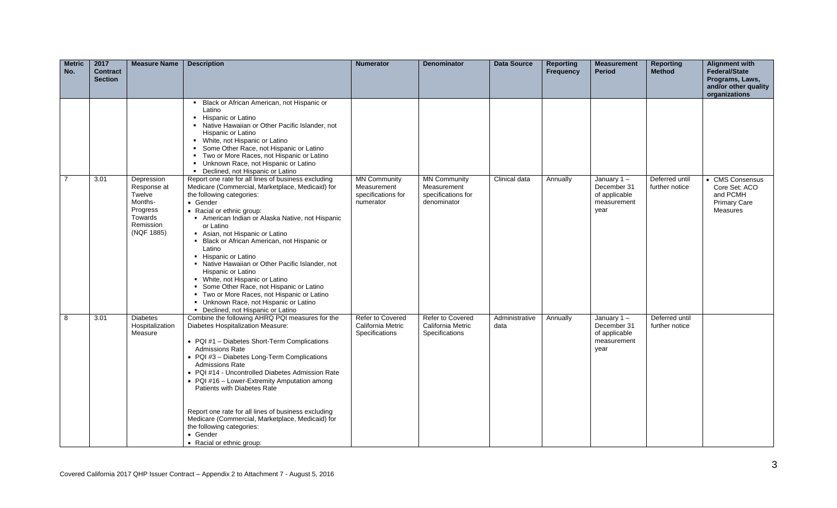| <b>Metric</b><br>No. | 2017<br><b>Contract</b><br><b>Section</b> | <b>Measure Name</b>                                                                              | <b>Description</b>                                                                                                                                                                                                                                                                                                                                                                                                                                                                                                                                                                                                                                   | <b>Numerator</b>                                                      | <b>Denominator</b>                                                      | Data Source            | <b>Reporting</b><br>Frequency | <b>Measurement</b><br><b>Period</b>                                  | <b>Reporting</b><br><b>Method</b> | <b>Alignment with</b><br><b>Federal/State</b><br>Programs, Laws,<br>and/or other quality |
|----------------------|-------------------------------------------|--------------------------------------------------------------------------------------------------|------------------------------------------------------------------------------------------------------------------------------------------------------------------------------------------------------------------------------------------------------------------------------------------------------------------------------------------------------------------------------------------------------------------------------------------------------------------------------------------------------------------------------------------------------------------------------------------------------------------------------------------------------|-----------------------------------------------------------------------|-------------------------------------------------------------------------|------------------------|-------------------------------|----------------------------------------------------------------------|-----------------------------------|------------------------------------------------------------------------------------------|
|                      |                                           |                                                                                                  | Black or African American, not Hispanic or                                                                                                                                                                                                                                                                                                                                                                                                                                                                                                                                                                                                           |                                                                       |                                                                         |                        |                               |                                                                      |                                   | organizations                                                                            |
|                      |                                           |                                                                                                  | Latino<br>• Hispanic or Latino<br>• Native Hawaiian or Other Pacific Islander, not<br>Hispanic or Latino<br>• White, not Hispanic or Latino<br>Some Other Race, not Hispanic or Latino<br>• Two or More Races, not Hispanic or Latino<br>• Unknown Race, not Hispanic or Latino<br>• Declined, not Hispanic or Latino                                                                                                                                                                                                                                                                                                                                |                                                                       |                                                                         |                        |                               |                                                                      |                                   |                                                                                          |
| $\overline{7}$       | 3.01                                      | Depression<br>Response at<br>Twelve<br>Months-<br>Progress<br>Towards<br>Remission<br>(NQF 1885) | Report one rate for all lines of business excluding<br>Medicare (Commercial, Marketplace, Medicaid) for<br>the following categories:<br>• Gender<br>• Racial or ethnic group:<br>American Indian or Alaska Native, not Hispanic<br>or Latino<br>Asian, not Hispanic or Latino<br>• Black or African American, not Hispanic or<br>Latino<br>• Hispanic or Latino<br>• Native Hawaiian or Other Pacific Islander, not<br>Hispanic or Latino<br>• White, not Hispanic or Latino<br>Some Other Race, not Hispanic or Latino<br>• Two or More Races, not Hispanic or Latino<br>Unknown Race, not Hispanic or Latino<br>• Declined, not Hispanic or Latino | <b>MN Community</b><br>Measurement<br>specifications for<br>numerator | <b>MN Community</b><br>Measurement<br>specifications for<br>denominator | Clinical data          | Annually                      | January $1 -$<br>December 31<br>of applicable<br>measurement<br>year | Deferred until<br>further notice  | • CMS Consensus<br>Core Set: ACO<br>and PCMH<br><b>Primary Care</b><br>Measures          |
| 8                    | 3.01                                      | <b>Diabetes</b><br>Hospitalization<br>Measure                                                    | Combine the following AHRQ PQI measures for the<br>Diabetes Hospitalization Measure:<br>• PQI #1 - Diabetes Short-Term Complications<br><b>Admissions Rate</b><br>• PQI #3 - Diabetes Long-Term Complications<br><b>Admissions Rate</b><br>• PQI #14 - Uncontrolled Diabetes Admission Rate<br>• PQI #16 - Lower-Extremity Amputation among<br>Patients with Diabetes Rate<br>Report one rate for all lines of business excluding<br>Medicare (Commercial, Marketplace, Medicaid) for<br>the following categories:<br>• Gender<br>• Racial or ethnic group:                                                                                          | <b>Refer to Covered</b><br>California Metric<br>Specifications        | Refer to Covered<br>California Metric<br>Specifications                 | Administrative<br>data | Annually                      | January 1-<br>December 31<br>of applicable<br>measurement<br>year    | Deferred until<br>further notice  |                                                                                          |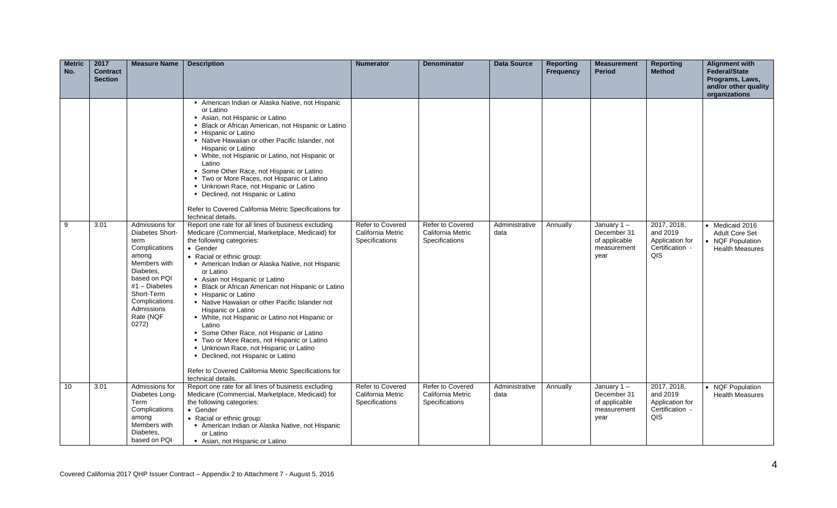| <b>Metric</b><br>No. | 2017<br><b>Contract</b><br><b>Section</b> | <b>Measure Name</b>                                                                                                                                                                                    | <b>Description</b>                                                                                                                                                                                                                                                                                                                                                                                                                                                                                                                                                                                                                                                                                                                                        | <b>Numerator</b>                                               | <b>Denominator</b>                                             | <b>Data Source</b>     | <b>Reporting</b><br><b>Frequency</b> | <b>Measurement</b><br><b>Period</b>                                  | Reporting<br><b>Method</b>                                           | <b>Alignment with</b><br><b>Federal/State</b><br>Programs, Laws,<br>and/or other quality<br>organizations |
|----------------------|-------------------------------------------|--------------------------------------------------------------------------------------------------------------------------------------------------------------------------------------------------------|-----------------------------------------------------------------------------------------------------------------------------------------------------------------------------------------------------------------------------------------------------------------------------------------------------------------------------------------------------------------------------------------------------------------------------------------------------------------------------------------------------------------------------------------------------------------------------------------------------------------------------------------------------------------------------------------------------------------------------------------------------------|----------------------------------------------------------------|----------------------------------------------------------------|------------------------|--------------------------------------|----------------------------------------------------------------------|----------------------------------------------------------------------|-----------------------------------------------------------------------------------------------------------|
|                      |                                           |                                                                                                                                                                                                        | American Indian or Alaska Native, not Hispanic<br>or Latino<br>Asian, not Hispanic or Latino<br>• Black or African American, not Hispanic or Latino<br>• Hispanic or Latino<br>• Native Hawaiian or other Pacific Islander, not<br><b>Hispanic or Latino</b><br>• White, not Hispanic or Latino, not Hispanic or<br>Latino<br>• Some Other Race, not Hispanic or Latino<br>• Two or More Races, not Hispanic or Latino<br>• Unknown Race, not Hispanic or Latino<br>• Declined, not Hispanic or Latino<br>Refer to Covered California Metric Specifications for<br>technical details.                                                                                                                                                                     |                                                                |                                                                |                        |                                      |                                                                      |                                                                      |                                                                                                           |
| 9                    | 3.01                                      | Admissions for<br>Diabetes Short-<br>term<br>Complications<br>among<br>Members with<br>Diabetes.<br>based on POI<br>$#1$ – Diabetes<br>Short-Term<br>Complications<br>Admissions<br>Rate (NQF<br>0272) | Report one rate for all lines of business excluding<br>Medicare (Commercial, Marketplace, Medicaid) for<br>the following categories:<br>• Gender<br>• Racial or ethnic group:<br>American Indian or Alaska Native, not Hispanic<br>or Latino<br>Asian not Hispanic or Latino<br>• Black or African American not Hispanic or Latino<br>• Hispanic or Latino<br>• Native Hawaiian or other Pacific Islander not<br>Hispanic or Latino<br>• White, not Hispanic or Latino not Hispanic or<br>Latino<br>Some Other Race, not Hispanic or Latino<br>• Two or More Races, not Hispanic or Latino<br>• Unknown Race, not Hispanic or Latino<br>• Declined, not Hispanic or Latino<br>Refer to Covered California Metric Specifications for<br>technical details. | Refer to Covered<br>California Metric<br>Specifications        | Refer to Covered<br>California Metric<br>Specifications        | Administrative<br>data | Annually                             | January $1 -$<br>December 31<br>of applicable<br>measurement<br>year | 2017, 2018,<br>and 2019<br>Application for<br>Certification -<br>QIS | • Medicaid 2016<br><b>Adult Core Set</b><br>NQF Population<br><b>Health Measures</b>                      |
| 10                   | 3.01                                      | Admissions for<br>Diabetes Long-<br>Term<br>Complications<br>among<br>Members with<br>Diabetes.<br>based on PQI                                                                                        | Report one rate for all lines of business excluding<br>Medicare (Commercial, Marketplace, Medicaid) for<br>the following categories:<br>• Gender<br>• Racial or ethnic group:<br>American Indian or Alaska Native, not Hispanic<br>or Latino<br>Asian, not Hispanic or Latino                                                                                                                                                                                                                                                                                                                                                                                                                                                                             | <b>Refer to Covered</b><br>California Metric<br>Specifications | <b>Refer to Covered</b><br>California Metric<br>Specifications | Administrative<br>data | Annually                             | January $1 -$<br>December 31<br>of applicable<br>measurement<br>year | 2017, 2018,<br>and 2019<br>Application for<br>Certification -<br>QIS | • NQF Population<br><b>Health Measures</b>                                                                |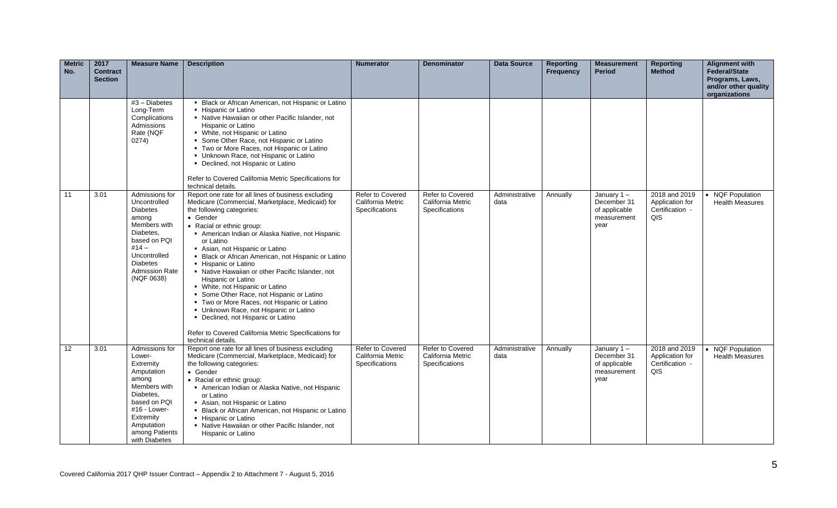| <b>Metric</b><br>No. | 2017<br><b>Contract</b><br><b>Section</b> | <b>Measure Name</b>                                                                                                                                                                          | <b>Description</b>                                                                                                                                                                                                                                                                                                                                                                                                                                                                                                                                                                                                                                                                                                                   | <b>Numerator</b>                                               | <b>Denominator</b>                                             | Data Source            | <b>Reporting</b><br><b>Frequency</b> | <b>Measurement</b><br><b>Period</b>                                  | Reporting<br><b>Method</b>                                 | <b>Alignment with</b><br>Federal/State<br>Programs, Laws,<br>and/or other quality<br>organizations |
|----------------------|-------------------------------------------|----------------------------------------------------------------------------------------------------------------------------------------------------------------------------------------------|--------------------------------------------------------------------------------------------------------------------------------------------------------------------------------------------------------------------------------------------------------------------------------------------------------------------------------------------------------------------------------------------------------------------------------------------------------------------------------------------------------------------------------------------------------------------------------------------------------------------------------------------------------------------------------------------------------------------------------------|----------------------------------------------------------------|----------------------------------------------------------------|------------------------|--------------------------------------|----------------------------------------------------------------------|------------------------------------------------------------|----------------------------------------------------------------------------------------------------|
|                      |                                           | $#3$ – Diabetes<br>Long-Term<br>Complications<br>Admissions<br>Rate (NQF<br>0274)                                                                                                            | • Black or African American, not Hispanic or Latino<br>• Hispanic or Latino<br>• Native Hawaiian or other Pacific Islander, not<br>Hispanic or Latino<br>• White, not Hispanic or Latino<br>• Some Other Race, not Hispanic or Latino<br>• Two or More Races, not Hispanic or Latino<br>• Unknown Race, not Hispanic or Latino<br>• Declined, not Hispanic or Latino<br>Refer to Covered California Metric Specifications for<br>technical details.                                                                                                                                                                                                                                                                                  |                                                                |                                                                |                        |                                      |                                                                      |                                                            |                                                                                                    |
| 11                   | 3.01                                      | Admissions for<br>Uncontrolled<br><b>Diabetes</b><br>among<br>Members with<br>Diabetes.<br>based on PQI<br>$#14 -$<br>Uncontrolled<br><b>Diabetes</b><br><b>Admission Rate</b><br>(NQF 0638) | Report one rate for all lines of business excluding<br>Medicare (Commercial, Marketplace, Medicaid) for<br>the following categories:<br>• Gender<br>• Racial or ethnic group:<br>American Indian or Alaska Native, not Hispanic<br>or Latino<br>Asian, not Hispanic or Latino<br>• Black or African American, not Hispanic or Latino<br>• Hispanic or Latino<br>• Native Hawaiian or other Pacific Islander, not<br>Hispanic or Latino<br>• White, not Hispanic or Latino<br>• Some Other Race, not Hispanic or Latino<br>• Two or More Races, not Hispanic or Latino<br>• Unknown Race, not Hispanic or Latino<br>• Declined, not Hispanic or Latino<br>Refer to Covered California Metric Specifications for<br>technical details. | <b>Refer to Covered</b><br>California Metric<br>Specifications | <b>Refer to Covered</b><br>California Metric<br>Specifications | Administrative<br>data | Annually                             | January $1 -$<br>December 31<br>of applicable<br>measurement<br>year | 2018 and 2019<br>Application for<br>Certification -<br>QIS | • NQF Population<br><b>Health Measures</b>                                                         |
| 12                   | 3.01                                      | Admissions for<br>Lower-<br>Extremity<br>Amputation<br>among<br>Members with<br>Diabetes.<br>based on PQI<br>#16 - Lower-<br>Extremity<br>Amputation<br>among Patients<br>with Diabetes      | Report one rate for all lines of business excluding<br>Medicare (Commercial, Marketplace, Medicaid) for<br>the following categories:<br>• Gender<br>• Racial or ethnic group:<br>American Indian or Alaska Native, not Hispanic<br>or Latino<br>Asian, not Hispanic or Latino<br>• Black or African American, not Hispanic or Latino<br>• Hispanic or Latino<br>• Native Hawaiian or other Pacific Islander, not<br>Hispanic or Latino                                                                                                                                                                                                                                                                                               | <b>Refer to Covered</b><br>California Metric<br>Specifications | Refer to Covered<br>California Metric<br>Specifications        | Administrative<br>data | Annually                             | January $1 -$<br>December 31<br>of applicable<br>measurement<br>year | 2018 and 2019<br>Application for<br>Certification -<br>QIS | • NQF Population<br><b>Health Measures</b>                                                         |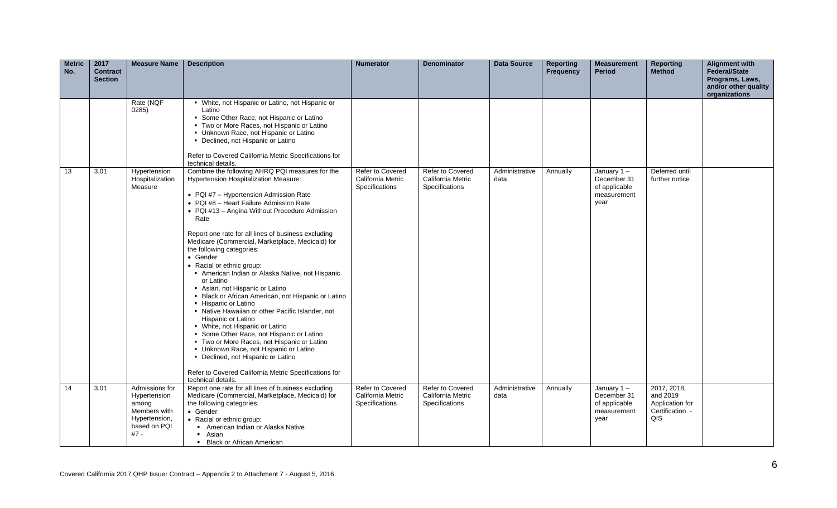| <b>Metric</b><br>No. | 2017<br><b>Contract</b><br><b>Section</b> | <b>Measure Name</b>                                                                                | <b>Description</b>                                                                                                                                                                                                                                                                                                                                                                                                                                                                                                                                                                                                                                                                                                                                                                                                                                                                                                                                                            | <b>Numerator</b>                                               | <b>Denominator</b>                                             | Data Source            | <b>Reporting</b><br><b>Frequency</b> | <b>Measurement</b><br><b>Period</b>                                  | <b>Reporting</b><br><b>Method</b>                                    | <b>Alignment with</b><br><b>Federal/State</b><br>Programs, Laws,<br>and/or other quality<br>organizations |
|----------------------|-------------------------------------------|----------------------------------------------------------------------------------------------------|-------------------------------------------------------------------------------------------------------------------------------------------------------------------------------------------------------------------------------------------------------------------------------------------------------------------------------------------------------------------------------------------------------------------------------------------------------------------------------------------------------------------------------------------------------------------------------------------------------------------------------------------------------------------------------------------------------------------------------------------------------------------------------------------------------------------------------------------------------------------------------------------------------------------------------------------------------------------------------|----------------------------------------------------------------|----------------------------------------------------------------|------------------------|--------------------------------------|----------------------------------------------------------------------|----------------------------------------------------------------------|-----------------------------------------------------------------------------------------------------------|
|                      |                                           | Rate (NQF<br>0285)                                                                                 | • White, not Hispanic or Latino, not Hispanic or<br>Latino<br>• Some Other Race, not Hispanic or Latino<br>" Two or More Races, not Hispanic or Latino<br>• Unknown Race, not Hispanic or Latino<br>• Declined, not Hispanic or Latino<br>Refer to Covered California Metric Specifications for<br>technical details.                                                                                                                                                                                                                                                                                                                                                                                                                                                                                                                                                                                                                                                         |                                                                |                                                                |                        |                                      |                                                                      |                                                                      |                                                                                                           |
| 13                   | 3.01                                      | Hypertension<br>Hospitalization<br>Measure                                                         | Combine the following AHRQ PQI measures for the<br>Hypertension Hospitalization Measure:<br>• PQI #7 - Hypertension Admission Rate<br>• PQI #8 - Heart Failure Admission Rate<br>• PQI #13 - Angina Without Procedure Admission<br>Rate<br>Report one rate for all lines of business excluding<br>Medicare (Commercial, Marketplace, Medicaid) for<br>the following categories:<br>• Gender<br>• Racial or ethnic group:<br>American Indian or Alaska Native, not Hispanic<br>or Latino<br>Asian, not Hispanic or Latino<br>• Black or African American, not Hispanic or Latino<br>- Hispanic or Latino<br>• Native Hawaiian or other Pacific Islander, not<br>Hispanic or Latino<br>• White, not Hispanic or Latino<br>• Some Other Race, not Hispanic or Latino<br>• Two or More Races, not Hispanic or Latino<br>Unknown Race, not Hispanic or Latino<br>• Declined, not Hispanic or Latino<br>Refer to Covered California Metric Specifications for<br>technical details. | <b>Refer to Covered</b><br>California Metric<br>Specifications | <b>Refer to Covered</b><br>California Metric<br>Specifications | Administrative<br>data | Annually                             | January $1 -$<br>December 31<br>of applicable<br>measurement<br>year | Deferred until<br>further notice                                     |                                                                                                           |
| 14                   | 3.01                                      | Admissions for<br>Hypertension<br>among<br>Members with<br>Hypertension,<br>based on PQI<br>$#7 -$ | Report one rate for all lines of business excluding<br>Medicare (Commercial, Marketplace, Medicaid) for<br>the following categories:<br>• Gender<br>• Racial or ethnic group:<br>American Indian or Alaska Native<br>• Asian<br>• Black or African American                                                                                                                                                                                                                                                                                                                                                                                                                                                                                                                                                                                                                                                                                                                   | Refer to Covered<br>California Metric<br>Specifications        | Refer to Covered<br>California Metric<br>Specifications        | Administrative<br>data | Annually                             | January 1-<br>December 31<br>of applicable<br>measurement<br>year    | 2017, 2018,<br>and 2019<br>Application for<br>Certification -<br>QIS |                                                                                                           |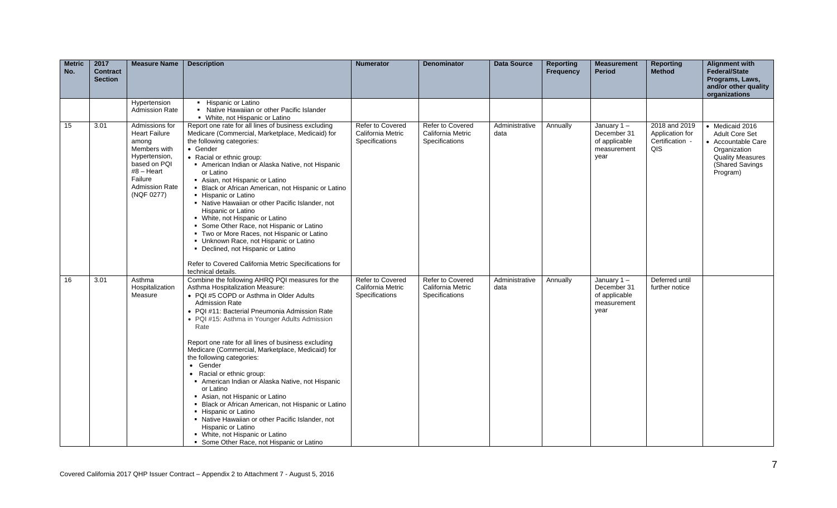| <b>Metric</b><br>No. | 2017<br><b>Contract</b><br><b>Section</b> | <b>Measure Name</b>                                                                                                                                                | <b>Description</b>                                                                                                                                                                                                                                                                                                                                                                                                                                                                                                                                                                                                                                                                                                                                                                         | <b>Numerator</b>                                        | <b>Denominator</b>                                      | <b>Data Source</b>     | <b>Reporting</b><br><b>Frequency</b> | <b>Measurement</b><br><b>Period</b>                                  | <b>Reporting</b><br><b>Method</b>                          | <b>Alignment with</b><br><b>Federal/State</b><br>Programs, Laws,<br>and/or other quality<br>organizations                         |
|----------------------|-------------------------------------------|--------------------------------------------------------------------------------------------------------------------------------------------------------------------|--------------------------------------------------------------------------------------------------------------------------------------------------------------------------------------------------------------------------------------------------------------------------------------------------------------------------------------------------------------------------------------------------------------------------------------------------------------------------------------------------------------------------------------------------------------------------------------------------------------------------------------------------------------------------------------------------------------------------------------------------------------------------------------------|---------------------------------------------------------|---------------------------------------------------------|------------------------|--------------------------------------|----------------------------------------------------------------------|------------------------------------------------------------|-----------------------------------------------------------------------------------------------------------------------------------|
|                      |                                           | Hypertension<br><b>Admission Rate</b>                                                                                                                              | • Hispanic or Latino<br>• Native Hawaiian or other Pacific Islander<br>• White, not Hispanic or Latino                                                                                                                                                                                                                                                                                                                                                                                                                                                                                                                                                                                                                                                                                     |                                                         |                                                         |                        |                                      |                                                                      |                                                            |                                                                                                                                   |
| 15                   | 3.01                                      | Admissions for<br><b>Heart Failure</b><br>among<br>Members with<br>Hypertension,<br>based on PQI<br>$#8 -$ Heart<br>Failure<br><b>Admission Rate</b><br>(NQF 0277) | Report one rate for all lines of business excluding<br>Medicare (Commercial, Marketplace, Medicaid) for<br>the following categories:<br>• Gender<br>• Racial or ethnic group:<br>American Indian or Alaska Native, not Hispanic<br>or Latino<br>Asian, not Hispanic or Latino<br>• Black or African American, not Hispanic or Latino<br>• Hispanic or Latino<br>• Native Hawaiian or other Pacific Islander, not<br>Hispanic or Latino<br>• White, not Hispanic or Latino<br>• Some Other Race, not Hispanic or Latino<br>" Two or More Races, not Hispanic or Latino<br>• Unknown Race, not Hispanic or Latino<br>• Declined, not Hispanic or Latino<br>Refer to Covered California Metric Specifications for<br>technical details.                                                       | Refer to Covered<br>California Metric<br>Specifications | Refer to Covered<br>California Metric<br>Specifications | Administrative<br>data | Annually                             | January $1 -$<br>December 31<br>of applicable<br>measurement<br>year | 2018 and 2019<br>Application for<br>Certification -<br>QIS | • Medicaid 2016<br>Adult Core Set<br>• Accountable Care<br>Organization<br><b>Quality Measures</b><br>(Shared Savings<br>Program) |
| 16                   | 3.01                                      | Asthma<br>Hospitalization<br>Measure                                                                                                                               | Combine the following AHRQ PQI measures for the<br>Asthma Hospitalization Measure:<br>• PQI #5 COPD or Asthma in Older Adults<br><b>Admission Rate</b><br>• PQI #11: Bacterial Pneumonia Admission Rate<br>• PQI #15: Asthma in Younger Adults Admission<br>Rate<br>Report one rate for all lines of business excluding<br>Medicare (Commercial, Marketplace, Medicaid) for<br>the following categories:<br>• Gender<br>• Racial or ethnic group:<br>American Indian or Alaska Native, not Hispanic<br>or Latino<br>Asian, not Hispanic or Latino<br>• Black or African American, not Hispanic or Latino<br>• Hispanic or Latino<br>• Native Hawaiian or other Pacific Islander, not<br>Hispanic or Latino<br>• White, not Hispanic or Latino<br>• Some Other Race, not Hispanic or Latino | Refer to Covered<br>California Metric<br>Specifications | Refer to Covered<br>California Metric<br>Specifications | Administrative<br>data | Annually                             | January $1 -$<br>December 31<br>of applicable<br>measurement<br>year | Deferred until<br>further notice                           |                                                                                                                                   |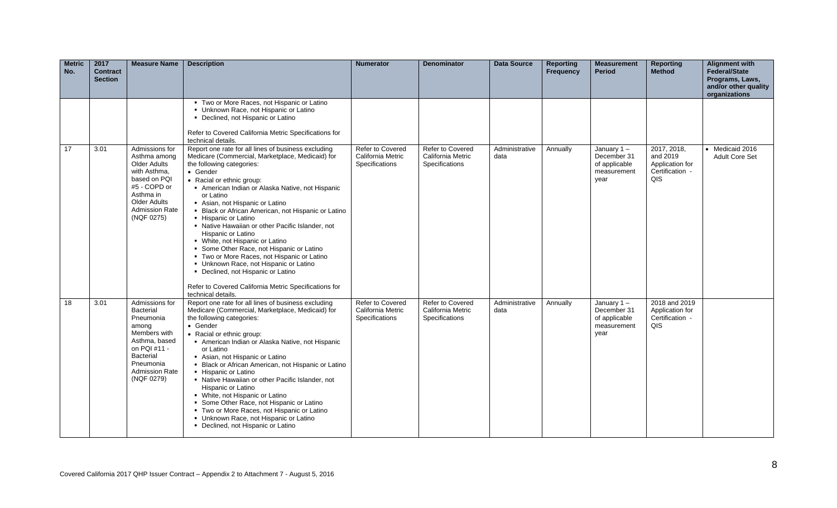| <b>Metric</b><br>No. | 2017<br><b>Contract</b><br><b>Section</b> | <b>Measure Name</b>                                                                                                                                                               | <b>Description</b>                                                                                                                                                                                                                                                                                                                                                                                                                                                                                                                                                                                                                                                                                                                 | <b>Numerator</b>                                        | <b>Denominator</b>                                             | <b>Data Source</b>     | <b>Reporting</b><br><b>Frequency</b> | <b>Measurement</b><br><b>Period</b>                                  | <b>Reporting</b><br><b>Method</b>                                    | <b>Alignment with</b><br><b>Federal/State</b><br>Programs, Laws,<br>and/or other quality<br>organizations |
|----------------------|-------------------------------------------|-----------------------------------------------------------------------------------------------------------------------------------------------------------------------------------|------------------------------------------------------------------------------------------------------------------------------------------------------------------------------------------------------------------------------------------------------------------------------------------------------------------------------------------------------------------------------------------------------------------------------------------------------------------------------------------------------------------------------------------------------------------------------------------------------------------------------------------------------------------------------------------------------------------------------------|---------------------------------------------------------|----------------------------------------------------------------|------------------------|--------------------------------------|----------------------------------------------------------------------|----------------------------------------------------------------------|-----------------------------------------------------------------------------------------------------------|
|                      |                                           |                                                                                                                                                                                   | • Two or More Races, not Hispanic or Latino<br>Unknown Race, not Hispanic or Latino<br>• Declined, not Hispanic or Latino<br>Refer to Covered California Metric Specifications for<br>technical details.                                                                                                                                                                                                                                                                                                                                                                                                                                                                                                                           |                                                         |                                                                |                        |                                      |                                                                      |                                                                      |                                                                                                           |
| 17                   | 3.01                                      | Admissions for<br>Asthma among<br>Older Adults<br>with Asthma,<br>based on PQI<br>#5 - COPD or<br>Asthma in<br><b>Older Adults</b><br><b>Admission Rate</b><br>(NQF 0275)         | Report one rate for all lines of business excluding<br>Medicare (Commercial, Marketplace, Medicaid) for<br>the following categories:<br>• Gender<br>• Racial or ethnic group:<br>American Indian or Alaska Native, not Hispanic<br>or Latino<br>Asian, not Hispanic or Latino<br>• Black or African American, not Hispanic or Latino<br>• Hispanic or Latino<br>• Native Hawaiian or other Pacific Islander, not<br>Hispanic or Latino<br>• White, not Hispanic or Latino<br>Some Other Race, not Hispanic or Latino<br>" Two or More Races, not Hispanic or Latino<br>• Unknown Race, not Hispanic or Latino<br>• Declined, not Hispanic or Latino<br>Refer to Covered California Metric Specifications for<br>technical details. | Refer to Covered<br>California Metric<br>Specifications | <b>Refer to Covered</b><br>California Metric<br>Specifications | Administrative<br>data | Annually                             | January $1 -$<br>December 31<br>of applicable<br>measurement<br>year | 2017, 2018,<br>and 2019<br>Application for<br>Certification -<br>QIS | • Medicaid 2016<br><b>Adult Core Set</b>                                                                  |
| 18                   | 3.01                                      | Admissions for<br><b>Bacterial</b><br>Pneumonia<br>among<br>Members with<br>Asthma, based<br>on PQI #11 -<br><b>Bacterial</b><br>Pneumonia<br><b>Admission Rate</b><br>(NQF 0279) | Report one rate for all lines of business excluding<br>Medicare (Commercial, Marketplace, Medicaid) for<br>the following categories:<br>$\bullet$ Gender<br>• Racial or ethnic group:<br>American Indian or Alaska Native, not Hispanic<br>or Latino<br>Asian, not Hispanic or Latino<br>• Black or African American, not Hispanic or Latino<br>• Hispanic or Latino<br>• Native Hawaiian or other Pacific Islander, not<br>Hispanic or Latino<br>• White, not Hispanic or Latino<br>• Some Other Race, not Hispanic or Latino<br>• Two or More Races, not Hispanic or Latino<br>• Unknown Race, not Hispanic or Latino<br>• Declined, not Hispanic or Latino                                                                      | Refer to Covered<br>California Metric<br>Specifications | Refer to Covered<br>California Metric<br>Specifications        | Administrative<br>data | Annually                             | January $1 -$<br>December 31<br>of applicable<br>measurement<br>year | 2018 and 2019<br>Application for<br>Certification -<br>QIS           |                                                                                                           |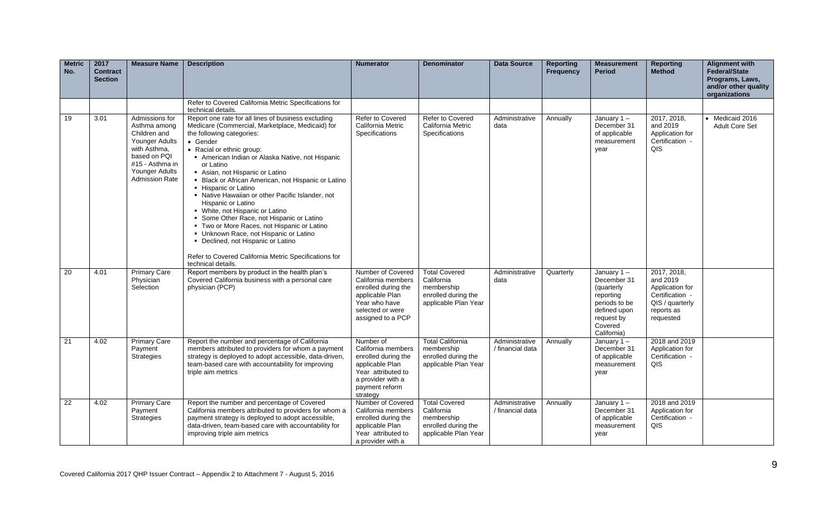| <b>Metric</b><br>No. | 2017<br><b>Contract</b><br><b>Section</b> | <b>Measure Name</b>                                                                                                                                            | <b>Description</b>                                                                                                                                                                                                                                                                                                                                                                                                                                                                                                                                                                                                                                                                                                                 | <b>Numerator</b>                                                                                                                                   | <b>Denominator</b>                                                                              | Data Source                        | <b>Reporting</b><br><b>Frequency</b> | <b>Measurement</b><br><b>Period</b>                                                                                           | <b>Reporting</b><br><b>Method</b>                                                                           | <b>Alignment with</b><br><b>Federal/State</b><br>Programs, Laws,<br>and/or other quality<br>organizations |
|----------------------|-------------------------------------------|----------------------------------------------------------------------------------------------------------------------------------------------------------------|------------------------------------------------------------------------------------------------------------------------------------------------------------------------------------------------------------------------------------------------------------------------------------------------------------------------------------------------------------------------------------------------------------------------------------------------------------------------------------------------------------------------------------------------------------------------------------------------------------------------------------------------------------------------------------------------------------------------------------|----------------------------------------------------------------------------------------------------------------------------------------------------|-------------------------------------------------------------------------------------------------|------------------------------------|--------------------------------------|-------------------------------------------------------------------------------------------------------------------------------|-------------------------------------------------------------------------------------------------------------|-----------------------------------------------------------------------------------------------------------|
|                      |                                           |                                                                                                                                                                | Refer to Covered California Metric Specifications for<br>technical details.                                                                                                                                                                                                                                                                                                                                                                                                                                                                                                                                                                                                                                                        |                                                                                                                                                    |                                                                                                 |                                    |                                      |                                                                                                                               |                                                                                                             |                                                                                                           |
| 19                   | 3.01                                      | Admissions for<br>Asthma among<br>Children and<br>Younger Adults<br>with Asthma,<br>based on PQI<br>#15 - Asthma in<br>Younger Adults<br><b>Admission Rate</b> | Report one rate for all lines of business excluding<br>Medicare (Commercial, Marketplace, Medicaid) for<br>the following categories:<br>• Gender<br>• Racial or ethnic group:<br>American Indian or Alaska Native, not Hispanic<br>or Latino<br>Asian, not Hispanic or Latino<br>• Black or African American, not Hispanic or Latino<br>• Hispanic or Latino<br>• Native Hawaiian or other Pacific Islander, not<br>Hispanic or Latino<br>• White, not Hispanic or Latino<br>Some Other Race, not Hispanic or Latino<br>• Two or More Races, not Hispanic or Latino<br>• Unknown Race, not Hispanic or Latino<br>• Declined, not Hispanic or Latino<br>Refer to Covered California Metric Specifications for<br>technical details. | Refer to Covered<br>California Metric<br>Specifications                                                                                            | Refer to Covered<br>California Metric<br><b>Specifications</b>                                  | Administrative<br>data             | Annually                             | January $1 -$<br>December 31<br>of applicable<br>measurement<br>year                                                          | 2017, 2018,<br>and 2019<br>Application for<br>Certification -<br>QIS                                        | • Medicaid 2016<br><b>Adult Core Set</b>                                                                  |
| 20                   | 4.01                                      | <b>Primary Care</b><br>Physician<br>Selection                                                                                                                  | Report members by product in the health plan's<br>Covered California business with a personal care<br>physician (PCP)                                                                                                                                                                                                                                                                                                                                                                                                                                                                                                                                                                                                              | Number of Covered<br>California members<br>enrolled during the<br>applicable Plan<br>Year who have<br>selected or were<br>assigned to a PCP        | <b>Total Covered</b><br>California<br>membership<br>enrolled during the<br>applicable Plan Year | Administrative<br>data             | Quarterly                            | January 1-<br>December 31<br>(quarterly<br>reporting<br>periods to be<br>defined upon<br>request by<br>Covered<br>California) | 2017, 2018,<br>and 2019<br>Application for<br>Certification -<br>QIS / quarterly<br>reports as<br>requested |                                                                                                           |
| 21                   | 4.02                                      | <b>Primary Care</b><br>Payment<br><b>Strategies</b>                                                                                                            | Report the number and percentage of California<br>members attributed to providers for whom a payment<br>strategy is deployed to adopt accessible, data-driven,<br>team-based care with accountability for improving<br>triple aim metrics                                                                                                                                                                                                                                                                                                                                                                                                                                                                                          | Number of<br>California members<br>enrolled during the<br>applicable Plan<br>Year attributed to<br>a provider with a<br>payment reform<br>strategy | <b>Total California</b><br>membership<br>enrolled during the<br>applicable Plan Year            | Administrative<br>/ financial data | Annually                             | January $1 -$<br>December 31<br>of applicable<br>measurement<br>year                                                          | 2018 and 2019<br>Application for<br>Certification -<br>QIS                                                  |                                                                                                           |
| $\overline{22}$      | 4.02                                      | <b>Primary Care</b><br>Payment<br>Strategies                                                                                                                   | Report the number and percentage of Covered<br>California members attributed to providers for whom a<br>payment strategy is deployed to adopt accessible,<br>data-driven, team-based care with accountability for<br>improving triple aim metrics                                                                                                                                                                                                                                                                                                                                                                                                                                                                                  | Number of Covered<br>California members<br>enrolled during the<br>applicable Plan<br>Year attributed to<br>a provider with a                       | <b>Total Covered</b><br>California<br>membership<br>enrolled during the<br>applicable Plan Year | Administrative<br>/ financial data | Annually                             | January $1 -$<br>December 31<br>of applicable<br>measurement<br>year                                                          | 2018 and 2019<br>Application for<br>Certification -<br><b>QIS</b>                                           |                                                                                                           |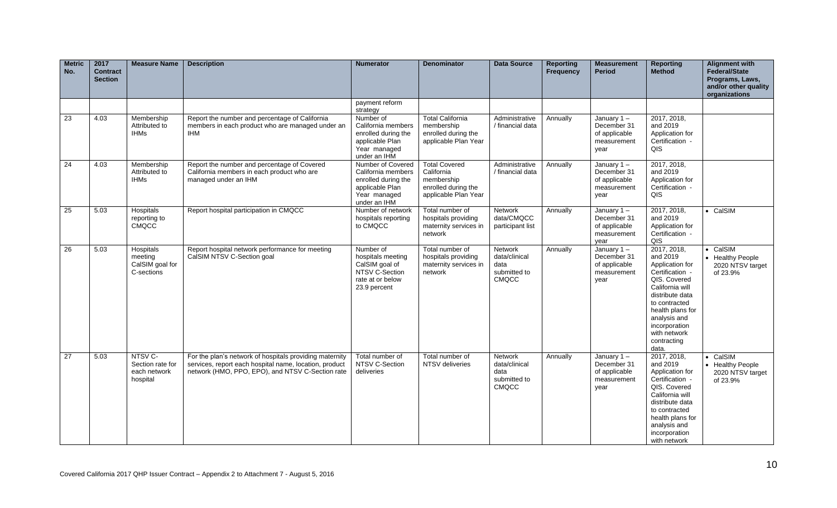| <b>Metric</b><br>No. | 2017<br><b>Contract</b><br><b>Section</b> | <b>Measure Name</b>                                     | <b>Description</b>                                                                                                                                                    | <b>Numerator</b>                                                                                                  | <b>Denominator</b>                                                                              | <b>Data Source</b>                                               | <b>Reporting</b><br><b>Frequency</b> | <b>Measurement</b><br><b>Period</b>                                  | <b>Reporting</b><br><b>Method</b>                                                                                                                                                                                                 | <b>Alignment with</b><br><b>Federal/State</b><br>Programs, Laws,<br>and/or other quality<br>organizations |
|----------------------|-------------------------------------------|---------------------------------------------------------|-----------------------------------------------------------------------------------------------------------------------------------------------------------------------|-------------------------------------------------------------------------------------------------------------------|-------------------------------------------------------------------------------------------------|------------------------------------------------------------------|--------------------------------------|----------------------------------------------------------------------|-----------------------------------------------------------------------------------------------------------------------------------------------------------------------------------------------------------------------------------|-----------------------------------------------------------------------------------------------------------|
|                      |                                           |                                                         |                                                                                                                                                                       | payment reform<br>strategy                                                                                        |                                                                                                 |                                                                  |                                      |                                                                      |                                                                                                                                                                                                                                   |                                                                                                           |
| $\overline{23}$      | 4.03                                      | Membership<br>Attributed to<br><b>IHMs</b>              | Report the number and percentage of California<br>members in each product who are managed under an<br><b>IHM</b>                                                      | Number of<br>California members<br>enrolled during the<br>applicable Plan<br>Year managed<br>under an IHM         | <b>Total California</b><br>membership<br>enrolled during the<br>applicable Plan Year            | Administrative<br>/ financial data                               | Annually                             | January $1 -$<br>December 31<br>of applicable<br>measurement<br>year | 2017, 2018,<br>and 2019<br>Application for<br>Certification -<br>QIS                                                                                                                                                              |                                                                                                           |
| 24                   | 4.03                                      | Membership<br>Attributed to<br><b>IHMs</b>              | Report the number and percentage of Covered<br>California members in each product who are<br>managed under an IHM                                                     | Number of Covered<br>California members<br>enrolled during the<br>applicable Plan<br>Year managed<br>under an IHM | <b>Total Covered</b><br>California<br>membership<br>enrolled during the<br>applicable Plan Year | Administrative<br>/ financial data                               | Annually                             | January $1 -$<br>December 31<br>of applicable<br>measurement<br>year | 2017, 2018,<br>and 2019<br>Application for<br>Certification -<br>QIS                                                                                                                                                              |                                                                                                           |
| 25                   | 5.03                                      | Hospitals<br>reporting to<br>CMQCC                      | Report hospital participation in CMQCC                                                                                                                                | Number of network<br>hospitals reporting<br>to CMQCC                                                              | Total number of<br>hospitals providing<br>maternity services in<br>network                      | <b>Network</b><br>data/CMQCC<br>participant list                 | Annually                             | January $1 -$<br>December 31<br>of applicable<br>measurement<br>year | 2017, 2018,<br>and 2019<br>Application for<br>Certification -<br>QIS                                                                                                                                                              | • CalSIM                                                                                                  |
| 26                   | 5.03                                      | Hospitals<br>meeting<br>CalSIM goal for<br>C-sections   | Report hospital network performance for meeting<br>CalSIM NTSV C-Section goal                                                                                         | Number of<br>hospitals meeting<br>CalSIM goal of<br>NTSV C-Section<br>rate at or below<br>23.9 percent            | Total number of<br>hospitals providing<br>maternity services in<br>network                      | Network<br>data/clinical<br>data<br>submitted to<br>CMQCC        | Annually                             | January $1 -$<br>December 31<br>of applicable<br>measurement<br>year | 2017, 2018,<br>and 2019<br>Application for<br>Certification -<br>QIS. Covered<br>California will<br>distribute data<br>to contracted<br>health plans for<br>analysis and<br>incorporation<br>with network<br>contracting<br>data. | CalSIM<br>• Healthy People<br>2020 NTSV target<br>of 23.9%                                                |
| 27                   | 5.03                                      | NTSV C-<br>Section rate for<br>each network<br>hospital | For the plan's network of hospitals providing maternity<br>services, report each hospital name, location, product<br>network (HMO, PPO, EPO), and NTSV C-Section rate | Total number of<br>NTSV C-Section<br>deliveries                                                                   | Total number of<br>NTSV deliveries                                                              | <b>Network</b><br>data/clinical<br>data<br>submitted to<br>CMQCC | Annually                             | January $1 -$<br>December 31<br>of applicable<br>measurement<br>year | 2017, 2018,<br>and 2019<br>Application for<br>Certification -<br>QIS. Covered<br>California will<br>distribute data<br>to contracted<br>health plans for<br>analysis and<br>incorporation<br>with network                         | CalSIM<br>• Healthy People<br>2020 NTSV target<br>of 23.9%                                                |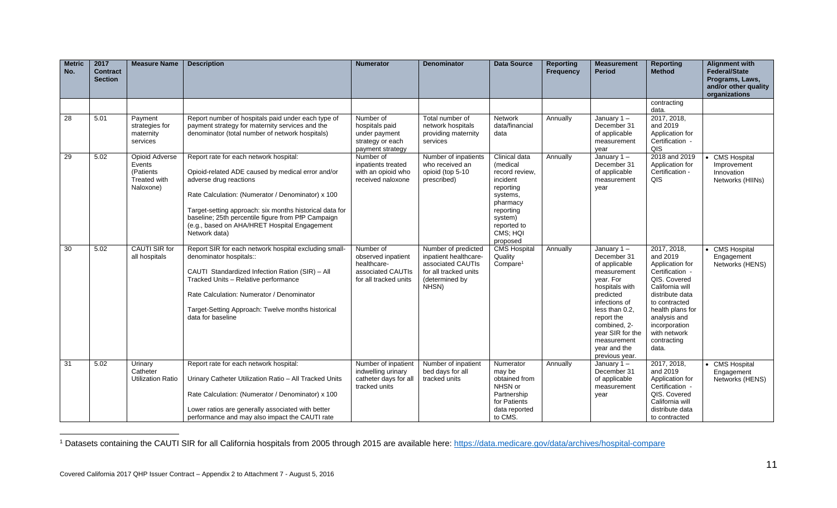| <b>Metric</b><br>No. | 2017<br><b>Contract</b><br><b>Section</b> | <b>Measure Name</b>                                                       | <b>Description</b>                                                                                                                                                                                                                                                                                                                                           | <b>Numerator</b>                                                                             | <b>Denominator</b>                                                                                                    | <b>Data Source</b>                                                                                                                                          | <b>Reporting</b><br><b>Frequency</b> | <b>Measurement</b><br><b>Period</b>                                                                                                                                                                                                         | <b>Reporting</b><br><b>Method</b>                                                                                                                                                                                                 | <b>Alignment with</b><br><b>Federal/State</b><br>Programs, Laws,<br>and/or other quality<br>organizations |
|----------------------|-------------------------------------------|---------------------------------------------------------------------------|--------------------------------------------------------------------------------------------------------------------------------------------------------------------------------------------------------------------------------------------------------------------------------------------------------------------------------------------------------------|----------------------------------------------------------------------------------------------|-----------------------------------------------------------------------------------------------------------------------|-------------------------------------------------------------------------------------------------------------------------------------------------------------|--------------------------------------|---------------------------------------------------------------------------------------------------------------------------------------------------------------------------------------------------------------------------------------------|-----------------------------------------------------------------------------------------------------------------------------------------------------------------------------------------------------------------------------------|-----------------------------------------------------------------------------------------------------------|
|                      |                                           |                                                                           |                                                                                                                                                                                                                                                                                                                                                              |                                                                                              |                                                                                                                       |                                                                                                                                                             |                                      |                                                                                                                                                                                                                                             | contracting<br>data.                                                                                                                                                                                                              |                                                                                                           |
| 28                   | 5.01                                      | Payment<br>strategies for<br>maternity<br>services                        | Report number of hospitals paid under each type of<br>payment strategy for maternity services and the<br>denominator (total number of network hospitals)                                                                                                                                                                                                     | Number of<br>hospitals paid<br>under payment<br>strategy or each<br>payment strategy         | Total number of<br>network hospitals<br>providing maternity<br>services                                               | <b>Network</b><br>data/financial<br>data                                                                                                                    | Annually                             | January $1 -$<br>December 31<br>of applicable<br>measurement<br>vear                                                                                                                                                                        | 2017, 2018,<br>and 2019<br>Application for<br>Certification -<br>QIS                                                                                                                                                              |                                                                                                           |
| 29                   | 5.02                                      | <b>Opioid Adverse</b><br>Events<br>(Patients<br>Treated with<br>Naloxone) | Report rate for each network hospital:<br>Opioid-related ADE caused by medical error and/or<br>adverse drug reactions<br>Rate Calculation: (Numerator / Denominator) x 100<br>Target-setting approach: six months historical data for<br>baseline; 25th percentile figure from PfP Campaign<br>(e.g., based on AHA/HRET Hospital Engagement<br>Network data) | Number of<br>inpatients treated<br>with an opioid who<br>received naloxone                   | Number of inpatients<br>who received an<br>opioid (top 5-10<br>prescribed)                                            | Clinical data<br>(medical<br>record review.<br>incident<br>reporting<br>systems,<br>pharmacy<br>reporting<br>system)<br>reported to<br>CMS; HQI<br>proposed | Annually                             | January $1 -$<br>December 31<br>of applicable<br>measurement<br>year                                                                                                                                                                        | 2018 and 2019<br>Application for<br>Certification -<br>QIS                                                                                                                                                                        | <b>CMS Hospital</b><br>Improvement<br>Innovation<br>Networks (HIINs)                                      |
| $\overline{30}$      | 5.02                                      | <b>CAUTI SIR for</b><br>all hospitals                                     | Report SIR for each network hospital excluding small-<br>denominator hospitals::<br>CAUTI Standardized Infection Ration (SIR) - All<br>Tracked Units - Relative performance<br>Rate Calculation: Numerator / Denominator<br>Target-Setting Approach: Twelve months historical<br>data for baseline                                                           | Number of<br>observed inpatient<br>healthcare-<br>associated CAUTIs<br>for all tracked units | Number of predicted<br>inpatient healthcare-<br>associated CAUTIs<br>for all tracked units<br>(determined by<br>NHSN) | <b>CMS Hospital</b><br>Quality<br>Compare <sup>1</sup>                                                                                                      | Annually                             | January 1-<br>December 31<br>of applicable<br>measurement<br>vear. For<br>hospitals with<br>predicted<br>infections of<br>less than 0.2.<br>report the<br>combined, 2-<br>year SIR for the<br>measurement<br>year and the<br>previous year. | 2017, 2018,<br>and 2019<br>Application for<br>Certification -<br>QIS. Covered<br>California will<br>distribute data<br>to contracted<br>health plans for<br>analysis and<br>incorporation<br>with network<br>contracting<br>data. | <b>CMS Hospital</b><br>Engagement<br>Networks (HENS)                                                      |
| 31                   | 5.02                                      | Urinary<br>Catheter<br><b>Utilization Ratio</b>                           | Report rate for each network hospital:<br>Urinary Catheter Utilization Ratio - All Tracked Units<br>Rate Calculation: (Numerator / Denominator) x 100<br>Lower ratios are generally associated with better<br>performance and may also impact the CAUTI rate                                                                                                 | Number of inpatient<br>indwelling urinary<br>catheter days for all<br>tracked units          | Number of inpatient<br>bed days for all<br>tracked units                                                              | Numerator<br>may be<br>obtained from<br>NHSN or<br>Partnership<br>for Patients<br>data reported<br>to CMS.                                                  | Annually                             | January $1 -$<br>December 31<br>of applicable<br>measurement<br>year                                                                                                                                                                        | 2017, 2018,<br>and 2019<br>Application for<br>Certification -<br>QIS. Covered<br>California will<br>distribute data<br>to contracted                                                                                              | <b>CMS Hospital</b><br>Engagement<br>Networks (HENS)                                                      |

<sup>&</sup>lt;sup>1</sup> Datasets containing the CAUTI SIR for all California hospitals from 2005 through 2015 are available here:<https://data.medicare.gov/data/archives/hospital-compare>

 $\overline{a}$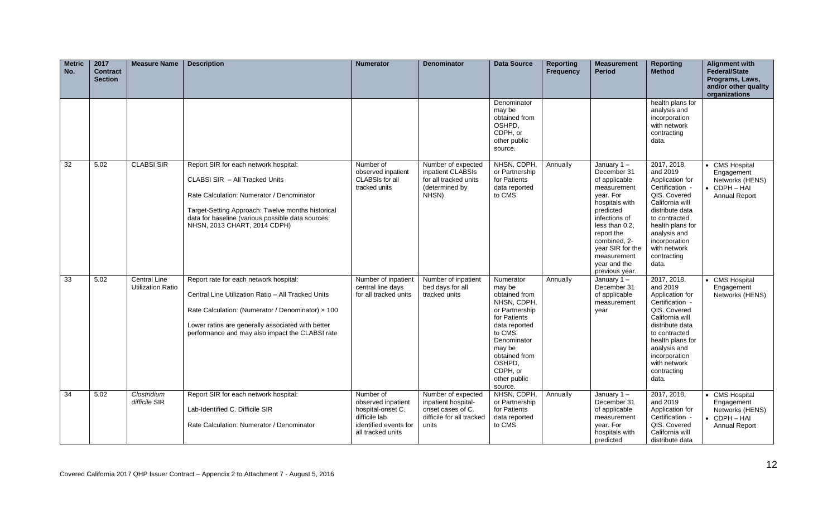| <b>Metric</b><br>No. | 2017<br><b>Contract</b><br><b>Section</b> | <b>Measure Name</b>                             | <b>Description</b>                                                                                                                                                                                                                                             | <b>Numerator</b>                                                                                                    | <b>Denominator</b>                                                                                   | <b>Data Source</b>                                                                                                                                                                                           | <b>Reporting</b><br><b>Frequency</b> | <b>Measurement</b><br><b>Period</b>                                                                                                                                                                                                            | <b>Reporting</b><br><b>Method</b>                                                                                                                                                                                                 | <b>Alignment with</b><br><b>Federal/State</b><br>Programs, Laws,<br>and/or other quality<br>organizations |
|----------------------|-------------------------------------------|-------------------------------------------------|----------------------------------------------------------------------------------------------------------------------------------------------------------------------------------------------------------------------------------------------------------------|---------------------------------------------------------------------------------------------------------------------|------------------------------------------------------------------------------------------------------|--------------------------------------------------------------------------------------------------------------------------------------------------------------------------------------------------------------|--------------------------------------|------------------------------------------------------------------------------------------------------------------------------------------------------------------------------------------------------------------------------------------------|-----------------------------------------------------------------------------------------------------------------------------------------------------------------------------------------------------------------------------------|-----------------------------------------------------------------------------------------------------------|
|                      |                                           |                                                 |                                                                                                                                                                                                                                                                |                                                                                                                     |                                                                                                      | Denominator<br>may be<br>obtained from<br>OSHPD,<br>CDPH, or<br>other public<br>source.                                                                                                                      |                                      |                                                                                                                                                                                                                                                | health plans for<br>analysis and<br>incorporation<br>with network<br>contracting<br>data.                                                                                                                                         |                                                                                                           |
| 32                   | 5.02                                      | <b>CLABSI SIR</b>                               | Report SIR for each network hospital:<br>CLABSI SIR - All Tracked Units<br>Rate Calculation: Numerator / Denominator<br>Target-Setting Approach: Twelve months historical<br>data for baseline (various possible data sources:<br>NHSN, 2013 CHART, 2014 CDPH) | Number of<br>observed inpatient<br>CLABSIs for all<br>tracked units                                                 | Number of expected<br>inpatient CLABSIs<br>for all tracked units<br>(determined by<br>NHSN)          | NHSN, CDPH,<br>or Partnership<br>for Patients<br>data reported<br>to CMS                                                                                                                                     | Annually                             | January $1 -$<br>December 31<br>of applicable<br>measurement<br>vear. For<br>hospitals with<br>predicted<br>infections of<br>less than 0.2,<br>report the<br>combined, 2-<br>year SIR for the<br>measurement<br>year and the<br>previous year. | 2017, 2018,<br>and 2019<br>Application for<br>Certification -<br>QIS. Covered<br>California will<br>distribute data<br>to contracted<br>health plans for<br>analysis and<br>incorporation<br>with network<br>contracting<br>data. | <b>CMS Hospital</b><br>Engagement<br>Networks (HENS)<br>CDPH - HAI<br><b>Annual Report</b>                |
| 33                   | 5.02                                      | <b>Central Line</b><br><b>Utilization Ratio</b> | Report rate for each network hospital:<br>Central Line Utilization Ratio - All Tracked Units<br>Rate Calculation: (Numerator / Denominator) x 100<br>Lower ratios are generally associated with better<br>performance and may also impact the CLABSI rate      | Number of inpatient<br>central line days<br>for all tracked units                                                   | Number of inpatient<br>bed days for all<br>tracked units                                             | Numerator<br>may be<br>obtained from<br>NHSN, CDPH,<br>or Partnership<br>for Patients<br>data reported<br>to CMS.<br>Denominator<br>may be<br>obtained from<br>OSHPD,<br>CDPH, or<br>other public<br>source. | Annually                             | January $1 -$<br>December 31<br>of applicable<br>measurement<br>year                                                                                                                                                                           | 2017, 2018,<br>and 2019<br>Application for<br>Certification -<br>QIS, Covered<br>California will<br>distribute data<br>to contracted<br>health plans for<br>analysis and<br>incorporation<br>with network<br>contracting<br>data. | <b>CMS Hospital</b><br>Engagement<br>Networks (HENS)                                                      |
| 34                   | 5.02                                      | Clostridium<br>difficile SIR                    | Report SIR for each network hospital:<br>Lab-Identified C. Difficile SIR<br>Rate Calculation: Numerator / Denominator                                                                                                                                          | Number of<br>observed inpatient<br>hospital-onset C.<br>difficile lab<br>identified events for<br>all tracked units | Number of expected<br>inpatient hospital-<br>onset cases of C.<br>difficile for all tracked<br>units | NHSN, CDPH,<br>or Partnership<br>for Patients<br>data reported<br>to CMS                                                                                                                                     | Annually                             | January $1 -$<br>December 31<br>of applicable<br>measurement<br>year. For<br>hospitals with<br>predicted                                                                                                                                       | 2017, 2018,<br>and 2019<br>Application for<br>Certification -<br>QIS. Covered<br>California will<br>distribute data                                                                                                               | <b>CMS Hospital</b><br>Engagement<br>Networks (HENS)<br>CDPH-HAI<br>Annual Report                         |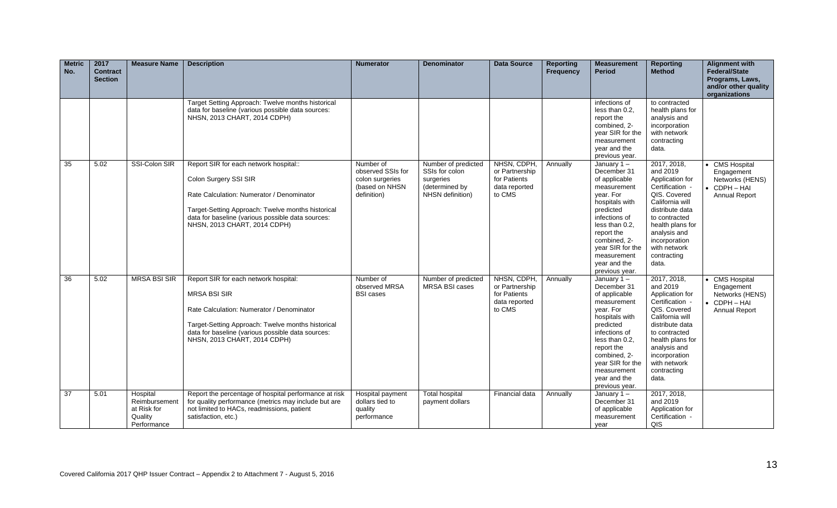| <b>Metric</b><br>No. | 2017<br><b>Contract</b><br><b>Section</b> | <b>Measure Name</b>                                                | <b>Description</b>                                                                                                                                                                                                                                     | <b>Numerator</b>                                                                   | <b>Denominator</b>                                                                       | <b>Data Source</b>                                                       | <b>Reporting</b><br><b>Frequency</b> | <b>Measurement</b><br><b>Period</b>                                                                                                                                                                                                            | <b>Reporting</b><br><b>Method</b>                                                                                                                                                                                                 | <b>Alignment with</b><br><b>Federal/State</b><br>Programs, Laws,<br>and/or other quality<br>organizations |
|----------------------|-------------------------------------------|--------------------------------------------------------------------|--------------------------------------------------------------------------------------------------------------------------------------------------------------------------------------------------------------------------------------------------------|------------------------------------------------------------------------------------|------------------------------------------------------------------------------------------|--------------------------------------------------------------------------|--------------------------------------|------------------------------------------------------------------------------------------------------------------------------------------------------------------------------------------------------------------------------------------------|-----------------------------------------------------------------------------------------------------------------------------------------------------------------------------------------------------------------------------------|-----------------------------------------------------------------------------------------------------------|
|                      |                                           |                                                                    | Target Setting Approach: Twelve months historical<br>data for baseline (various possible data sources:<br>NHSN, 2013 CHART, 2014 CDPH)                                                                                                                 |                                                                                    |                                                                                          |                                                                          |                                      | infections of<br>less than 0.2.<br>report the<br>combined, 2-<br>year SIR for the<br>measurement<br>year and the<br>previous year.                                                                                                             | to contracted<br>health plans for<br>analysis and<br>incorporation<br>with network<br>contracting<br>data.                                                                                                                        |                                                                                                           |
| 35                   | 5.02                                      | SSI-Colon SIR                                                      | Report SIR for each network hospital::<br>Colon Surgery SSI SIR<br>Rate Calculation: Numerator / Denominator<br>Target-Setting Approach: Twelve months historical<br>data for baseline (various possible data sources:<br>NHSN, 2013 CHART, 2014 CDPH) | Number of<br>observed SSIs for<br>colon surgeries<br>(based on NHSN<br>definition) | Number of predicted<br>SSIs for colon<br>surgeries<br>(determined by<br>NHSN definition) | NHSN, CDPH,<br>or Partnership<br>for Patients<br>data reported<br>to CMS | Annually                             | January $1 -$<br>December 31<br>of applicable<br>measurement<br>year. For<br>hospitals with<br>predicted<br>infections of<br>less than 0.2,<br>report the<br>combined, 2-<br>year SIR for the<br>measurement<br>year and the<br>previous year. | 2017, 2018,<br>and 2019<br>Application for<br>Certification -<br>QIS, Covered<br>California will<br>distribute data<br>to contracted<br>health plans for<br>analysis and<br>incorporation<br>with network<br>contracting<br>data. | <b>CMS</b> Hospital<br>Engagement<br>Networks (HENS)<br>CDPH-HAI<br>Annual Report                         |
| 36                   | 5.02                                      | <b>MRSA BSI SIR</b>                                                | Report SIR for each network hospital:<br><b>MRSA BSI SIR</b><br>Rate Calculation: Numerator / Denominator<br>Target-Setting Approach: Twelve months historical<br>data for baseline (various possible data sources:<br>NHSN, 2013 CHART, 2014 CDPH)    | Number of<br>observed MRSA<br><b>BSI</b> cases                                     | Number of predicted<br>MRSA BSI cases                                                    | NHSN, CDPH,<br>or Partnership<br>for Patients<br>data reported<br>to CMS | Annually                             | January $1 -$<br>December 31<br>of applicable<br>measurement<br>year. For<br>hospitals with<br>predicted<br>infections of<br>less than 0.2,<br>report the<br>combined, 2-<br>year SIR for the<br>measurement<br>year and the<br>previous year. | 2017, 2018,<br>and 2019<br>Application for<br>Certification -<br>QIS, Covered<br>California will<br>distribute data<br>to contracted<br>health plans for<br>analysis and<br>incorporation<br>with network<br>contracting<br>data. | <b>CMS Hospital</b><br>Engagement<br>Networks (HENS)<br>$\bullet$ CDPH $-$ HAI<br><b>Annual Report</b>    |
| 37                   | 5.01                                      | Hospital<br>Reimbursement<br>at Risk for<br>Quality<br>Performance | Report the percentage of hospital performance at risk<br>for quality performance (metrics may include but are<br>not limited to HACs, readmissions, patient<br>satisfaction, etc.)                                                                     | Hospital payment<br>dollars tied to<br>quality<br>performance                      | <b>Total hospital</b><br>payment dollars                                                 | Financial data                                                           | Annually                             | January $1 -$<br>December 31<br>of applicable<br>measurement<br>year                                                                                                                                                                           | 2017, 2018,<br>and 2019<br>Application for<br>Certification -<br>QIS                                                                                                                                                              |                                                                                                           |